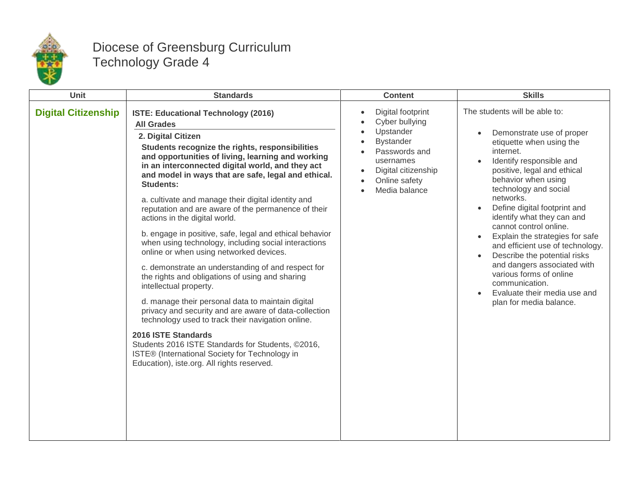

## Diocese of Greensburg Curriculum Technology Grade 4

| Unit                       | <b>Standards</b>                                                                                                                                                                                                                                                                                                                                                                                                                                                                                                                                                                                                                                                                                                                                                                                                                                                                                                                                                                                                                                                                                                           | <b>Content</b>                                                                                                                                                                                                  | <b>Skills</b>                                                                                                                                                                                                                                                                                                                                                                                                                                                                                                                                                     |
|----------------------------|----------------------------------------------------------------------------------------------------------------------------------------------------------------------------------------------------------------------------------------------------------------------------------------------------------------------------------------------------------------------------------------------------------------------------------------------------------------------------------------------------------------------------------------------------------------------------------------------------------------------------------------------------------------------------------------------------------------------------------------------------------------------------------------------------------------------------------------------------------------------------------------------------------------------------------------------------------------------------------------------------------------------------------------------------------------------------------------------------------------------------|-----------------------------------------------------------------------------------------------------------------------------------------------------------------------------------------------------------------|-------------------------------------------------------------------------------------------------------------------------------------------------------------------------------------------------------------------------------------------------------------------------------------------------------------------------------------------------------------------------------------------------------------------------------------------------------------------------------------------------------------------------------------------------------------------|
| <b>Digital Citizenship</b> | <b>ISTE: Educational Technology (2016)</b><br><b>All Grades</b><br>2. Digital Citizen<br>Students recognize the rights, responsibilities<br>and opportunities of living, learning and working<br>in an interconnected digital world, and they act<br>and model in ways that are safe, legal and ethical.<br><b>Students:</b><br>a. cultivate and manage their digital identity and<br>reputation and are aware of the permanence of their<br>actions in the digital world.<br>b. engage in positive, safe, legal and ethical behavior<br>when using technology, including social interactions<br>online or when using networked devices.<br>c. demonstrate an understanding of and respect for<br>the rights and obligations of using and sharing<br>intellectual property.<br>d. manage their personal data to maintain digital<br>privacy and security and are aware of data-collection<br>technology used to track their navigation online.<br>2016 ISTE Standards<br>Students 2016 ISTE Standards for Students, ©2016,<br>ISTE® (International Society for Technology in<br>Education), iste.org. All rights reserved. | Digital footprint<br>$\bullet$<br>Cyber bullying<br>Upstander<br><b>Bystander</b><br>Passwords and<br>usernames<br>Digital citizenship<br>$\bullet$<br>Online safety<br>$\bullet$<br>Media balance<br>$\bullet$ | The students will be able to:<br>Demonstrate use of proper<br>etiquette when using the<br>internet.<br>Identify responsible and<br>positive, legal and ethical<br>behavior when using<br>technology and social<br>networks.<br>Define digital footprint and<br>identify what they can and<br>cannot control online.<br>Explain the strategies for safe<br>and efficient use of technology.<br>Describe the potential risks<br>and dangers associated with<br>various forms of online<br>communication.<br>Evaluate their media use and<br>plan for media balance. |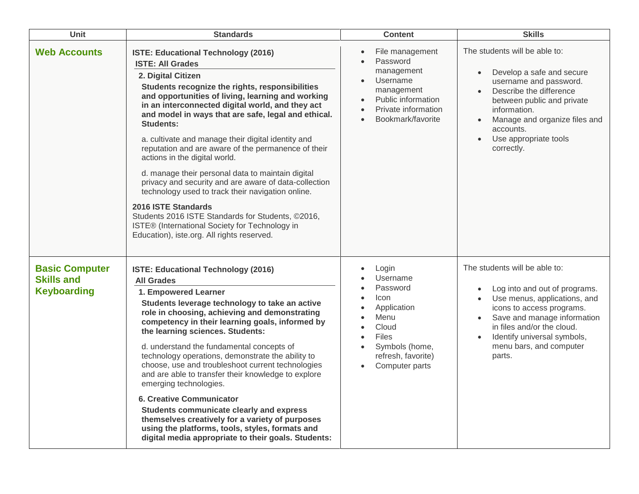| <b>Unit</b>                                                      | <b>Standards</b>                                                                                                                                                                                                                                                                                                                                                                                                                                                                                                                                                                                                                                                                                                                                                                                                         | <b>Content</b>                                                                                                                                                                                                                                   | <b>Skills</b>                                                                                                                                                                                                                                                                          |
|------------------------------------------------------------------|--------------------------------------------------------------------------------------------------------------------------------------------------------------------------------------------------------------------------------------------------------------------------------------------------------------------------------------------------------------------------------------------------------------------------------------------------------------------------------------------------------------------------------------------------------------------------------------------------------------------------------------------------------------------------------------------------------------------------------------------------------------------------------------------------------------------------|--------------------------------------------------------------------------------------------------------------------------------------------------------------------------------------------------------------------------------------------------|----------------------------------------------------------------------------------------------------------------------------------------------------------------------------------------------------------------------------------------------------------------------------------------|
| <b>Web Accounts</b>                                              | ISTE: Educational Technology (2016)<br><b>ISTE: All Grades</b><br>2. Digital Citizen<br>Students recognize the rights, responsibilities<br>and opportunities of living, learning and working<br>in an interconnected digital world, and they act<br>and model in ways that are safe, legal and ethical.<br><b>Students:</b><br>a. cultivate and manage their digital identity and<br>reputation and are aware of the permanence of their<br>actions in the digital world.<br>d. manage their personal data to maintain digital<br>privacy and security and are aware of data-collection<br>technology used to track their navigation online.<br>2016 ISTE Standards<br>Students 2016 ISTE Standards for Students, ©2016,<br>ISTE® (International Society for Technology in<br>Education), iste.org. All rights reserved. | File management<br>$\bullet$<br>Password<br>$\bullet$<br>management<br>Username<br>$\bullet$<br>management<br>Public information<br>$\bullet$<br>Private information<br>$\bullet$<br>Bookmark/favorite<br>$\bullet$                              | The students will be able to:<br>Develop a safe and secure<br>username and password.<br>Describe the difference<br>$\bullet$<br>between public and private<br>information.<br>Manage and organize files and<br>accounts.<br>Use appropriate tools<br>$\bullet$<br>correctly.           |
| <b>Basic Computer</b><br><b>Skills and</b><br><b>Keyboarding</b> | ISTE: Educational Technology (2016)<br><b>All Grades</b><br>1. Empowered Learner<br>Students leverage technology to take an active<br>role in choosing, achieving and demonstrating<br>competency in their learning goals, informed by<br>the learning sciences. Students:<br>d. understand the fundamental concepts of<br>technology operations, demonstrate the ability to<br>choose, use and troubleshoot current technologies<br>and are able to transfer their knowledge to explore<br>emerging technologies.<br><b>6. Creative Communicator</b><br>Students communicate clearly and express<br>themselves creatively for a variety of purposes<br>using the platforms, tools, styles, formats and<br>digital media appropriate to their goals. Students:                                                           | Login<br>$\bullet$<br>Username<br>Password<br>$\bullet$<br>Icon<br>$\bullet$<br>Application<br>$\bullet$<br>Menu<br>$\bullet$<br>Cloud<br>$\bullet$<br>Files<br>$\bullet$<br>Symbols (home,<br>refresh, favorite)<br>Computer parts<br>$\bullet$ | The students will be able to:<br>Log into and out of programs.<br>Use menus, applications, and<br>icons to access programs.<br>Save and manage information<br>$\bullet$<br>in files and/or the cloud.<br>Identify universal symbols,<br>$\bullet$<br>menu bars, and computer<br>parts. |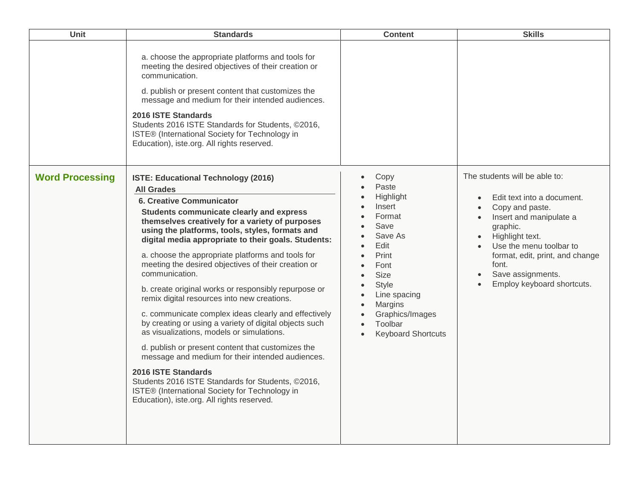| Unit                   | <b>Standards</b>                                                                                                                                                                                                                                                                                                                                                                                                                                                                                                                                                                                                                                                                                                                                                                                                                                                                                                                                                                                     | <b>Content</b>                                                                                                                                                                                                               | <b>Skills</b>                                                                                                                                                                                                                                                      |
|------------------------|------------------------------------------------------------------------------------------------------------------------------------------------------------------------------------------------------------------------------------------------------------------------------------------------------------------------------------------------------------------------------------------------------------------------------------------------------------------------------------------------------------------------------------------------------------------------------------------------------------------------------------------------------------------------------------------------------------------------------------------------------------------------------------------------------------------------------------------------------------------------------------------------------------------------------------------------------------------------------------------------------|------------------------------------------------------------------------------------------------------------------------------------------------------------------------------------------------------------------------------|--------------------------------------------------------------------------------------------------------------------------------------------------------------------------------------------------------------------------------------------------------------------|
|                        | a. choose the appropriate platforms and tools for<br>meeting the desired objectives of their creation or<br>communication.<br>d. publish or present content that customizes the<br>message and medium for their intended audiences.<br>2016 ISTE Standards<br>Students 2016 ISTE Standards for Students, ©2016,<br>ISTE® (International Society for Technology in<br>Education), iste.org. All rights reserved.                                                                                                                                                                                                                                                                                                                                                                                                                                                                                                                                                                                      |                                                                                                                                                                                                                              |                                                                                                                                                                                                                                                                    |
| <b>Word Processing</b> | <b>ISTE: Educational Technology (2016)</b><br><b>All Grades</b><br><b>6. Creative Communicator</b><br>Students communicate clearly and express<br>themselves creatively for a variety of purposes<br>using the platforms, tools, styles, formats and<br>digital media appropriate to their goals. Students:<br>a. choose the appropriate platforms and tools for<br>meeting the desired objectives of their creation or<br>communication.<br>b. create original works or responsibly repurpose or<br>remix digital resources into new creations.<br>c. communicate complex ideas clearly and effectively<br>by creating or using a variety of digital objects such<br>as visualizations, models or simulations.<br>d. publish or present content that customizes the<br>message and medium for their intended audiences.<br>2016 ISTE Standards<br>Students 2016 ISTE Standards for Students, ©2016,<br>ISTE® (International Society for Technology in<br>Education), iste.org. All rights reserved. | Copy<br>Paste<br>Highlight<br>Insert<br>Format<br>Save<br>Save As<br>Edit<br>Print<br>Font<br><b>Size</b><br>Style<br>Line spacing<br><b>Margins</b><br>$\bullet$<br>Graphics/Images<br>Toolbar<br><b>Keyboard Shortcuts</b> | The students will be able to:<br>Edit text into a document.<br>Copy and paste.<br>Insert and manipulate a<br>graphic.<br>Highlight text.<br>Use the menu toolbar to<br>format, edit, print, and change<br>font.<br>Save assignments.<br>Employ keyboard shortcuts. |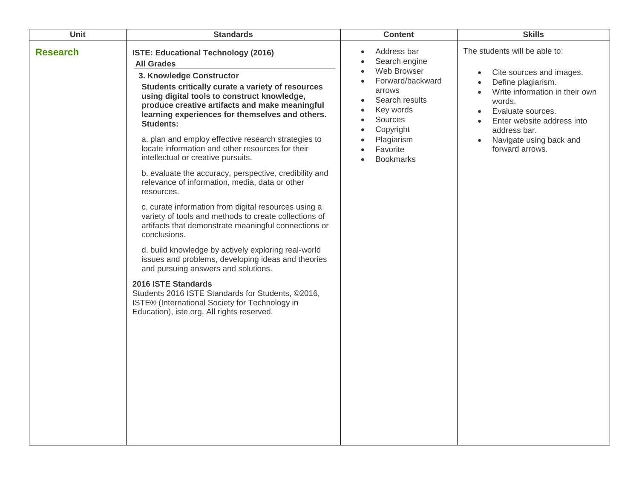| Unit            | <b>Standards</b>                                                                                                                                                                                                                                                                                                                                                                                                                                                                                                                                                                                                                                                                                                                                                                                                                                                                                                                                                                                                                                                                                                             | <b>Content</b>                                                                                                                                                                                           | <b>Skills</b>                                                                                                                                                                                                                                             |
|-----------------|------------------------------------------------------------------------------------------------------------------------------------------------------------------------------------------------------------------------------------------------------------------------------------------------------------------------------------------------------------------------------------------------------------------------------------------------------------------------------------------------------------------------------------------------------------------------------------------------------------------------------------------------------------------------------------------------------------------------------------------------------------------------------------------------------------------------------------------------------------------------------------------------------------------------------------------------------------------------------------------------------------------------------------------------------------------------------------------------------------------------------|----------------------------------------------------------------------------------------------------------------------------------------------------------------------------------------------------------|-----------------------------------------------------------------------------------------------------------------------------------------------------------------------------------------------------------------------------------------------------------|
| <b>Research</b> | <b>ISTE: Educational Technology (2016)</b><br><b>All Grades</b><br>3. Knowledge Constructor<br>Students critically curate a variety of resources<br>using digital tools to construct knowledge,<br>produce creative artifacts and make meaningful<br>learning experiences for themselves and others.<br><b>Students:</b><br>a. plan and employ effective research strategies to<br>locate information and other resources for their<br>intellectual or creative pursuits.<br>b. evaluate the accuracy, perspective, credibility and<br>relevance of information, media, data or other<br>resources.<br>c. curate information from digital resources using a<br>variety of tools and methods to create collections of<br>artifacts that demonstrate meaningful connections or<br>conclusions.<br>d. build knowledge by actively exploring real-world<br>issues and problems, developing ideas and theories<br>and pursuing answers and solutions.<br>2016 ISTE Standards<br>Students 2016 ISTE Standards for Students, ©2016,<br>ISTE® (International Society for Technology in<br>Education), iste.org. All rights reserved. | Address bar<br>Search engine<br>Web Browser<br>Forward/backward<br>$\bullet$<br>arrows<br>Search results<br>$\bullet$<br>Key words<br>Sources<br>Copyright<br>Plagiarism<br>Favorite<br><b>Bookmarks</b> | The students will be able to:<br>Cite sources and images.<br>Define plagiarism.<br>Write information in their own<br>words.<br>Evaluate sources.<br>Enter website address into<br>address bar.<br>Navigate using back and<br>$\bullet$<br>forward arrows. |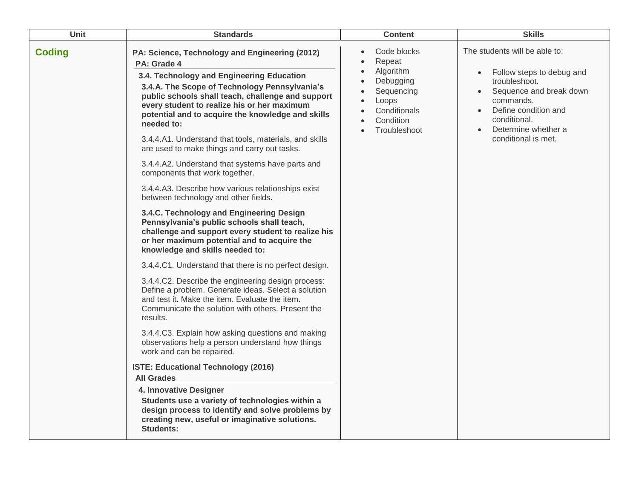| Unit          | <b>Standards</b>                                                                                                                                                                                                                                                                                                                                                                                                                                                                                                                                                                                                                                                                                                                                                                                                                                                                                                                                                                                                                                                                                                                                                                                                                                                                                                                                | <b>Content</b>                                                                                                                                                          | <b>Skills</b>                                                                                                                                                                                                          |
|---------------|-------------------------------------------------------------------------------------------------------------------------------------------------------------------------------------------------------------------------------------------------------------------------------------------------------------------------------------------------------------------------------------------------------------------------------------------------------------------------------------------------------------------------------------------------------------------------------------------------------------------------------------------------------------------------------------------------------------------------------------------------------------------------------------------------------------------------------------------------------------------------------------------------------------------------------------------------------------------------------------------------------------------------------------------------------------------------------------------------------------------------------------------------------------------------------------------------------------------------------------------------------------------------------------------------------------------------------------------------|-------------------------------------------------------------------------------------------------------------------------------------------------------------------------|------------------------------------------------------------------------------------------------------------------------------------------------------------------------------------------------------------------------|
| <b>Coding</b> | PA: Science, Technology and Engineering (2012)<br>PA: Grade 4<br>3.4. Technology and Engineering Education<br>3.4.A. The Scope of Technology Pennsylvania's<br>public schools shall teach, challenge and support<br>every student to realize his or her maximum<br>potential and to acquire the knowledge and skills<br>needed to:<br>3.4.4.A1. Understand that tools, materials, and skills<br>are used to make things and carry out tasks.<br>3.4.4.A2. Understand that systems have parts and<br>components that work together.<br>3.4.4.A3. Describe how various relationships exist<br>between technology and other fields.<br>3.4.C. Technology and Engineering Design<br>Pennsylvania's public schools shall teach,<br>challenge and support every student to realize his<br>or her maximum potential and to acquire the<br>knowledge and skills needed to:<br>3.4.4.C1. Understand that there is no perfect design.<br>3.4.4.C2. Describe the engineering design process:<br>Define a problem. Generate ideas. Select a solution<br>and test it. Make the item. Evaluate the item.<br>Communicate the solution with others. Present the<br>results.<br>3.4.4.C3. Explain how asking questions and making<br>observations help a person understand how things<br>work and can be repaired.<br><b>ISTE: Educational Technology (2016)</b> | Code blocks<br>Repeat<br>$\bullet$<br>Algorithm<br>$\bullet$<br>Debugging<br>$\bullet$<br>Sequencing<br>Loops<br>$\bullet$<br>Conditionals<br>Condition<br>Troubleshoot | The students will be able to:<br>Follow steps to debug and<br>$\bullet$<br>troubleshoot.<br>Sequence and break down<br>commands.<br>Define condition and<br>conditional.<br>Determine whether a<br>conditional is met. |
|               | <b>All Grades</b><br>4. Innovative Designer<br>Students use a variety of technologies within a<br>design process to identify and solve problems by<br>creating new, useful or imaginative solutions.<br><b>Students:</b>                                                                                                                                                                                                                                                                                                                                                                                                                                                                                                                                                                                                                                                                                                                                                                                                                                                                                                                                                                                                                                                                                                                        |                                                                                                                                                                         |                                                                                                                                                                                                                        |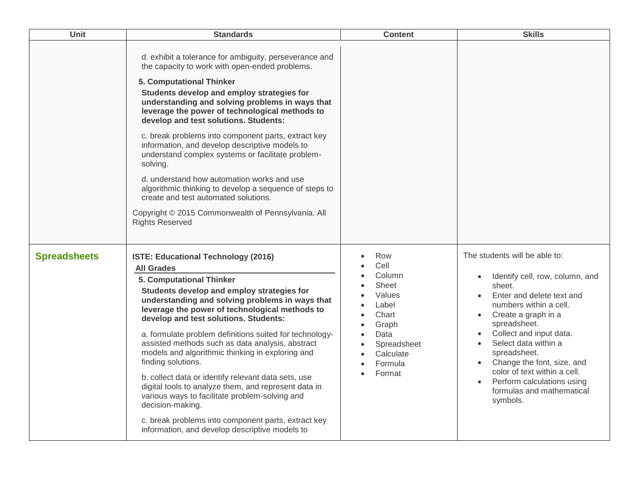| Unit                | <b>Standards</b>                                                                                                                                                                                                                                                                                                                                                                                                                                                                                                                                                                                                                                                                                                                                                               | <b>Content</b>                                                                                                                                                                                | <b>Skills</b>                                                                                                                                                                                                                                                                                                                                                                                                           |
|---------------------|--------------------------------------------------------------------------------------------------------------------------------------------------------------------------------------------------------------------------------------------------------------------------------------------------------------------------------------------------------------------------------------------------------------------------------------------------------------------------------------------------------------------------------------------------------------------------------------------------------------------------------------------------------------------------------------------------------------------------------------------------------------------------------|-----------------------------------------------------------------------------------------------------------------------------------------------------------------------------------------------|-------------------------------------------------------------------------------------------------------------------------------------------------------------------------------------------------------------------------------------------------------------------------------------------------------------------------------------------------------------------------------------------------------------------------|
|                     | d. exhibit a tolerance for ambiguity, perseverance and<br>the capacity to work with open-ended problems.<br>5. Computational Thinker<br>Students develop and employ strategies for<br>understanding and solving problems in ways that<br>leverage the power of technological methods to<br>develop and test solutions. Students:<br>c. break problems into component parts, extract key<br>information, and develop descriptive models to<br>understand complex systems or facilitate problem-<br>solving.<br>d. understand how automation works and use<br>algorithmic thinking to develop a sequence of steps to<br>create and test automated solutions.<br>Copyright © 2015 Commonwealth of Pennsylvania. All<br><b>Rights Reserved</b>                                     |                                                                                                                                                                                               |                                                                                                                                                                                                                                                                                                                                                                                                                         |
| <b>Spreadsheets</b> | <b>ISTE: Educational Technology (2016)</b><br><b>All Grades</b><br>5. Computational Thinker<br>Students develop and employ strategies for<br>understanding and solving problems in ways that<br>leverage the power of technological methods to<br>develop and test solutions. Students:<br>a. formulate problem definitions suited for technology-<br>assisted methods such as data analysis, abstract<br>models and algorithmic thinking in exploring and<br>finding solutions.<br>b. collect data or identify relevant data sets, use<br>digital tools to analyze them, and represent data in<br>various ways to facilitate problem-solving and<br>decision-making.<br>c. break problems into component parts, extract key<br>information, and develop descriptive models to | Row<br>Cell<br>Column<br>Sheet<br>Values<br>Label<br>$\bullet$<br>Chart<br>$\bullet$<br>Graph<br>$\bullet$<br>Data<br>$\bullet$<br>Spreadsheet<br>$\bullet$<br>Calculate<br>Formula<br>Format | The students will be able to:<br>Identify cell, row, column, and<br>sheet.<br>Enter and delete text and<br>numbers within a cell.<br>Create a graph in a<br>$\bullet$<br>spreadsheet.<br>Collect and input data.<br>Select data within a<br>spreadsheet.<br>Change the font, size, and<br>$\bullet$<br>color of text within a cell.<br>Perform calculations using<br>$\bullet$<br>formulas and mathematical<br>symbols. |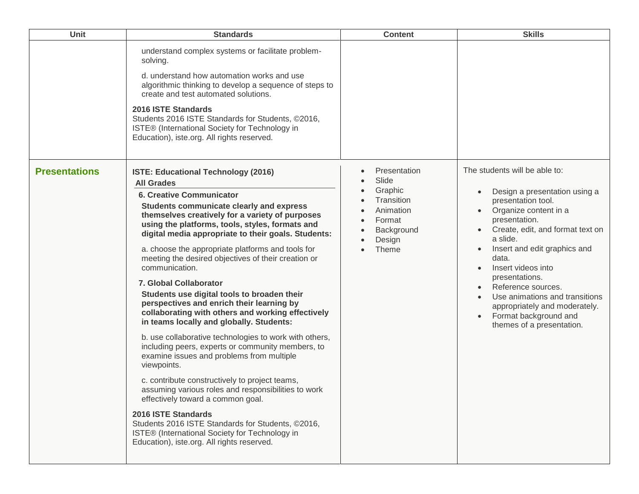| Unit                 | <b>Standards</b>                                                                                                                                                                                                                                                                                                                                                                                                                                                                                                                                                                                                                                                                                                                                                                                                                                                                                                                                                                                                                                                                                                                                                      | <b>Content</b>                                                                                         | <b>Skills</b>                                                                                                                                                                                                                                                                                                                                                                                                  |
|----------------------|-----------------------------------------------------------------------------------------------------------------------------------------------------------------------------------------------------------------------------------------------------------------------------------------------------------------------------------------------------------------------------------------------------------------------------------------------------------------------------------------------------------------------------------------------------------------------------------------------------------------------------------------------------------------------------------------------------------------------------------------------------------------------------------------------------------------------------------------------------------------------------------------------------------------------------------------------------------------------------------------------------------------------------------------------------------------------------------------------------------------------------------------------------------------------|--------------------------------------------------------------------------------------------------------|----------------------------------------------------------------------------------------------------------------------------------------------------------------------------------------------------------------------------------------------------------------------------------------------------------------------------------------------------------------------------------------------------------------|
|                      | understand complex systems or facilitate problem-<br>solving.<br>d. understand how automation works and use<br>algorithmic thinking to develop a sequence of steps to<br>create and test automated solutions.<br>2016 ISTE Standards<br>Students 2016 ISTE Standards for Students, ©2016,<br>ISTE® (International Society for Technology in<br>Education), iste.org. All rights reserved.                                                                                                                                                                                                                                                                                                                                                                                                                                                                                                                                                                                                                                                                                                                                                                             |                                                                                                        |                                                                                                                                                                                                                                                                                                                                                                                                                |
| <b>Presentations</b> | <b>ISTE: Educational Technology (2016)</b><br><b>All Grades</b><br><b>6. Creative Communicator</b><br>Students communicate clearly and express<br>themselves creatively for a variety of purposes<br>using the platforms, tools, styles, formats and<br>digital media appropriate to their goals. Students:<br>a. choose the appropriate platforms and tools for<br>meeting the desired objectives of their creation or<br>communication.<br>7. Global Collaborator<br>Students use digital tools to broaden their<br>perspectives and enrich their learning by<br>collaborating with others and working effectively<br>in teams locally and globally. Students:<br>b. use collaborative technologies to work with others,<br>including peers, experts or community members, to<br>examine issues and problems from multiple<br>viewpoints.<br>c. contribute constructively to project teams,<br>assuming various roles and responsibilities to work<br>effectively toward a common goal.<br>2016 ISTE Standards<br>Students 2016 ISTE Standards for Students, ©2016,<br>ISTE® (International Society for Technology in<br>Education), iste.org. All rights reserved. | Presentation<br>Slide<br>Graphic<br>Transition<br>Animation<br>Format<br>Background<br>Design<br>Theme | The students will be able to:<br>Design a presentation using a<br>presentation tool.<br>Organize content in a<br>presentation.<br>Create, edit, and format text on<br>a slide.<br>Insert and edit graphics and<br>data.<br>Insert videos into<br>presentations.<br>Reference sources.<br>Use animations and transitions<br>appropriately and moderately.<br>Format background and<br>themes of a presentation. |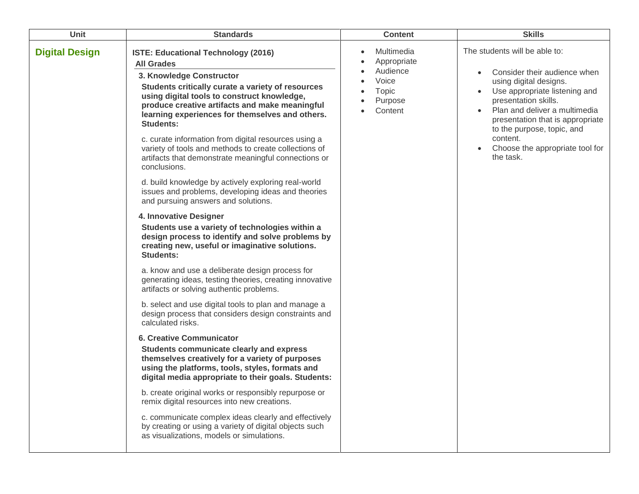| Unit                  | <b>Standards</b>                                                                                                                                                                                                                                                                                                                                                                                                                                                                                                                                                                                                                                                                                                                                                                                                                                                                                                                                                                                                                                                                                                                                                                                                                                                                                                                                                                                                                                                                                                                                                                                                                                                                       | <b>Content</b>                                                                | <b>Skills</b>                                                                                                                                                                                                                                                                                                   |
|-----------------------|----------------------------------------------------------------------------------------------------------------------------------------------------------------------------------------------------------------------------------------------------------------------------------------------------------------------------------------------------------------------------------------------------------------------------------------------------------------------------------------------------------------------------------------------------------------------------------------------------------------------------------------------------------------------------------------------------------------------------------------------------------------------------------------------------------------------------------------------------------------------------------------------------------------------------------------------------------------------------------------------------------------------------------------------------------------------------------------------------------------------------------------------------------------------------------------------------------------------------------------------------------------------------------------------------------------------------------------------------------------------------------------------------------------------------------------------------------------------------------------------------------------------------------------------------------------------------------------------------------------------------------------------------------------------------------------|-------------------------------------------------------------------------------|-----------------------------------------------------------------------------------------------------------------------------------------------------------------------------------------------------------------------------------------------------------------------------------------------------------------|
| <b>Digital Design</b> | <b>ISTE: Educational Technology (2016)</b><br><b>All Grades</b><br>3. Knowledge Constructor<br>Students critically curate a variety of resources<br>using digital tools to construct knowledge,<br>produce creative artifacts and make meaningful<br>learning experiences for themselves and others.<br><b>Students:</b><br>c. curate information from digital resources using a<br>variety of tools and methods to create collections of<br>artifacts that demonstrate meaningful connections or<br>conclusions.<br>d. build knowledge by actively exploring real-world<br>issues and problems, developing ideas and theories<br>and pursuing answers and solutions.<br>4. Innovative Designer<br>Students use a variety of technologies within a<br>design process to identify and solve problems by<br>creating new, useful or imaginative solutions.<br>Students:<br>a. know and use a deliberate design process for<br>generating ideas, testing theories, creating innovative<br>artifacts or solving authentic problems.<br>b. select and use digital tools to plan and manage a<br>design process that considers design constraints and<br>calculated risks.<br><b>6. Creative Communicator</b><br>Students communicate clearly and express<br>themselves creatively for a variety of purposes<br>using the platforms, tools, styles, formats and<br>digital media appropriate to their goals. Students:<br>b. create original works or responsibly repurpose or<br>remix digital resources into new creations.<br>c. communicate complex ideas clearly and effectively<br>by creating or using a variety of digital objects such<br>as visualizations, models or simulations. | Multimedia<br>Appropriate<br>Audience<br>Voice<br>Topic<br>Purpose<br>Content | The students will be able to:<br>Consider their audience when<br>using digital designs.<br>Use appropriate listening and<br>presentation skills.<br>Plan and deliver a multimedia<br>presentation that is appropriate<br>to the purpose, topic, and<br>content.<br>Choose the appropriate tool for<br>the task. |